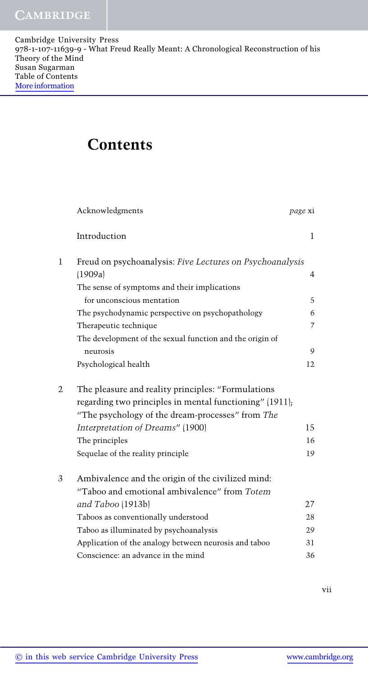## **Contents**

|   | Acknowledgments                                          | page xi        |
|---|----------------------------------------------------------|----------------|
|   | Introduction                                             | 1              |
| 1 | Freud on psychoanalysis: Five Lectures on Psychoanalysis |                |
|   | (1909a)                                                  | $\overline{4}$ |
|   | The sense of symptoms and their implications             |                |
|   | for unconscious mentation                                | 5              |
|   | The psychodynamic perspective on psychopathology         | 6              |
|   | Therapeutic technique                                    | 7              |
|   | The development of the sexual function and the origin of |                |
|   | neurosis                                                 | 9              |
|   | Psychological health                                     | 12             |
| 2 | The pleasure and reality principles: "Formulations       |                |
|   | regarding two principles in mental functioning" (1911);  |                |
|   | "The psychology of the dream-processes" from The         |                |
|   | Interpretation of Dreams" (1900)                         | 15             |
|   | The principles                                           | 16             |
|   | Sequelae of the reality principle                        | 19             |
| 3 | Ambivalence and the origin of the civilized mind:        |                |
|   | "Taboo and emotional ambivalence" from Totem             |                |
|   | and Taboo (1913b)                                        | 27             |
|   | Taboos as conventionally understood                      | 28             |
|   | Taboo as illuminated by psychoanalysis                   | 29             |
|   | Application of the analogy between neurosis and taboo    | 31             |
|   | Conscience: an advance in the mind                       | 36             |
|   |                                                          |                |

vii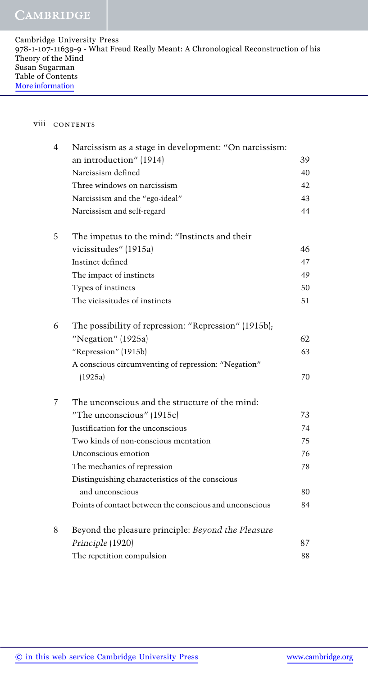| Cambridge University Press                                                         |
|------------------------------------------------------------------------------------|
| 978-1-107-11639-9 - What Freud Really Meant: A Chronological Reconstruction of his |
| Theory of the Mind                                                                 |
| Susan Sugarman                                                                     |
| Table of Contents                                                                  |
| More information                                                                   |
|                                                                                    |

## viii contents

| 4 | Narcissism as a stage in development: "On narcissism:   |    |
|---|---------------------------------------------------------|----|
|   | an introduction" (1914)                                 | 39 |
|   | Narcissism defined                                      | 40 |
|   | Three windows on narcissism                             | 42 |
|   | Narcissism and the "ego-ideal"                          | 43 |
|   | Narcissism and self-regard                              | 44 |
| 5 | The impetus to the mind: "Instincts and their           |    |
|   | vicissitudes" (1915a)                                   | 46 |
|   | Instinct defined                                        | 47 |
|   | The impact of instincts                                 | 49 |
|   | Types of instincts                                      | 50 |
|   | The vicissitudes of instincts                           | 51 |
| 6 | The possibility of repression: "Repression" (1915b);    |    |
|   | "Negation" (1925a)                                      | 62 |
|   | "Repression" (1915b)                                    | 63 |
|   | A conscious circumventing of repression: "Negation"     |    |
|   | (1925a)                                                 | 70 |
| 7 | The unconscious and the structure of the mind:          |    |
|   | "The unconscious" (1915c)                               | 73 |
|   | Justification for the unconscious                       | 74 |
|   | Two kinds of non-conscious mentation                    | 75 |
|   | Unconscious emotion                                     | 76 |
|   | The mechanics of repression                             | 78 |
|   | Distinguishing characteristics of the conscious         |    |
|   | and unconscious                                         | 80 |
|   | Points of contact between the conscious and unconscious | 84 |
| 8 | Beyond the pleasure principle: Beyond the Pleasure      |    |
|   | Principle (1920)                                        | 87 |
|   | The repetition compulsion                               | 88 |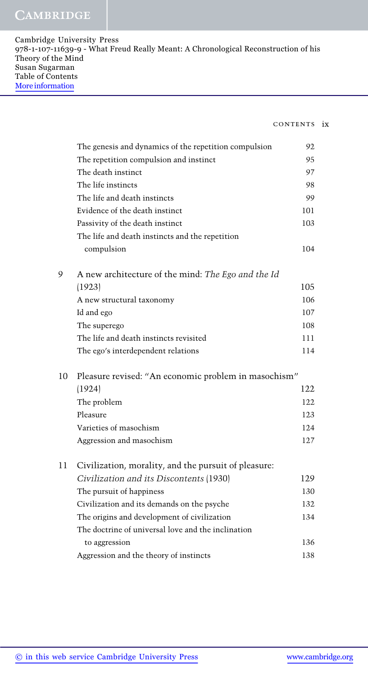| Cambridge University Press                                                         |
|------------------------------------------------------------------------------------|
| 978-1-107-11639-9 - What Freud Really Meant: A Chronological Reconstruction of his |
| Theory of the Mind                                                                 |
| Susan Sugarman                                                                     |
| Table of Contents                                                                  |
| More information                                                                   |
|                                                                                    |

## contents ix

|    | The genesis and dynamics of the repetition compulsion | 92  |
|----|-------------------------------------------------------|-----|
|    | The repetition compulsion and instinct                | 95  |
|    | The death instinct                                    | 97  |
|    | The life instincts                                    | 98  |
|    | The life and death instincts                          | 99  |
|    | Evidence of the death instinct                        | 101 |
|    | Passivity of the death instinct                       | 103 |
|    | The life and death instincts and the repetition       |     |
|    | compulsion                                            | 104 |
| 9  | A new architecture of the mind: The Ego and the Id    |     |
|    | (1923)                                                | 105 |
|    | A new structural taxonomy                             | 106 |
|    | Id and ego                                            | 107 |
|    | The superego                                          | 108 |
|    | The life and death instincts revisited                | 111 |
|    | The ego's interdependent relations                    | 114 |
| 10 | Pleasure revised: "An economic problem in masochism"  |     |
|    | (1924)                                                | 122 |
|    | The problem                                           | 122 |
|    | Pleasure                                              | 123 |
|    | Varieties of masochism                                | 124 |
|    | Aggression and masochism                              | 127 |
| 11 | Civilization, morality, and the pursuit of pleasure:  |     |
|    | Civilization and its Discontents (1930)               | 129 |
|    | The pursuit of happiness                              | 130 |
|    | Civilization and its demands on the psyche            | 132 |
|    | The origins and development of civilization           | 134 |
|    | The doctrine of universal love and the inclination    |     |
|    | to aggression                                         | 136 |
|    | Aggression and the theory of instincts                | 138 |